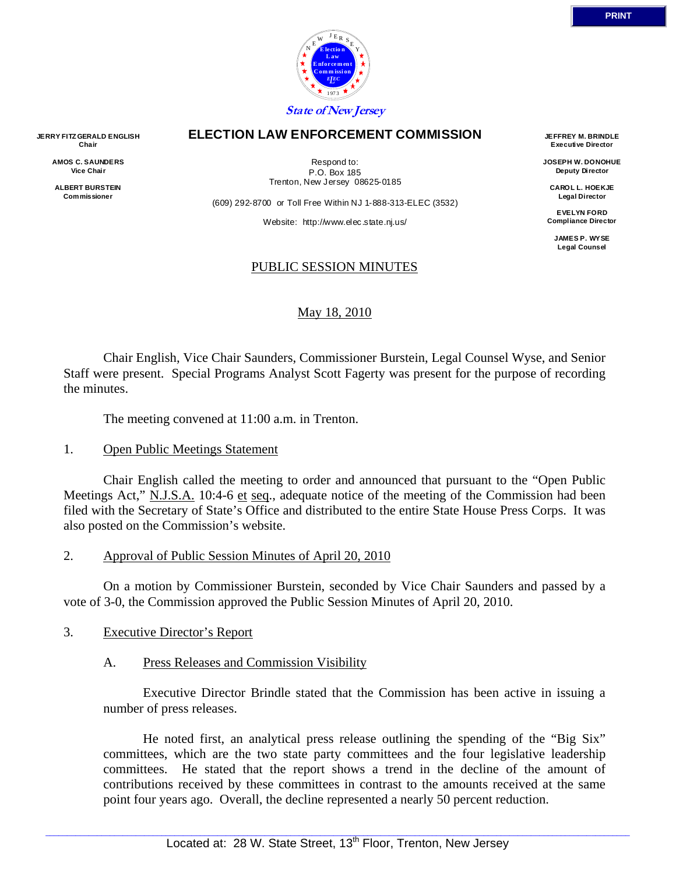

### **ELECTION LAW ENFORCEMENT COMMISSION**

**JERRY FITZ GERALD ENGLISH Chair AMOS C. SAUNDERS Vice Chair** 

> **ALBERT BURSTEIN Commissioner**

Respond to: P.O. Box 185 Trenton, New Jersey 08625-0185

(609) 292-8700 or Toll Free Within NJ 1-888-313-ELEC (3532)

Website: http://www.elec.state.nj.us/

#### PUBLIC SESSION MINUTES

### May 18, 2010

 Chair English, Vice Chair Saunders, Commissioner Burstein, Legal Counsel Wyse, and Senior Staff were present. Special Programs Analyst Scott Fagerty was present for the purpose of recording the minutes.

The meeting convened at 11:00 a.m. in Trenton.

#### 1. Open Public Meetings Statement

 Chair English called the meeting to order and announced that pursuant to the "Open Public Meetings Act," N.J.S.A. 10:4-6 et seq., adequate notice of the meeting of the Commission had been filed with the Secretary of State's Office and distributed to the entire State House Press Corps. It was also posted on the Commission's website.

2. Approval of Public Session Minutes of April 20, 2010

 On a motion by Commissioner Burstein, seconded by Vice Chair Saunders and passed by a vote of 3-0, the Commission approved the Public Session Minutes of April 20, 2010.

- 3. Executive Director's Report
	- A. Press Releases and Commission Visibility

 Executive Director Brindle stated that the Commission has been active in issuing a number of press releases.

 He noted first, an analytical press release outlining the spending of the "Big Six" committees, which are the two state party committees and the four legislative leadership committees. He stated that the report shows a trend in the decline of the amount of contributions received by these committees in contrast to the amounts received at the same point four years ago. Overall, the decline represented a nearly 50 percent reduction.

**JEFFREY M. BRINDLE Executive Director JOSEPH W. DONOHUE Deputy Director CAROL L. HOEKJE Legal Director EVELYN FORD Compliance Director JAMES P. WYSE Legal Counsel**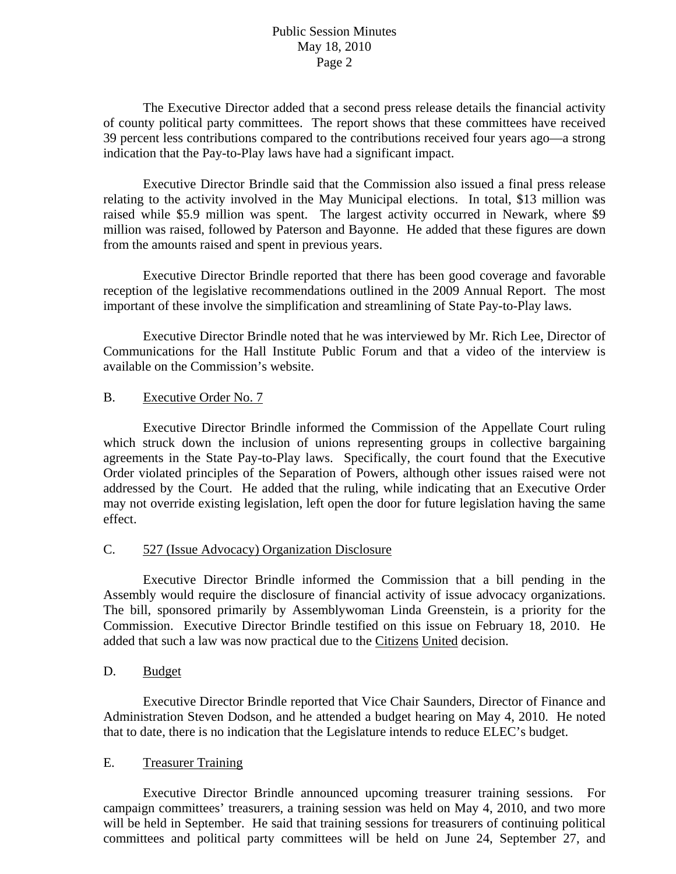# Public Session Minutes May 18, 2010 Page 2

 The Executive Director added that a second press release details the financial activity of county political party committees. The report shows that these committees have received 39 percent less contributions compared to the contributions received four years ago—a strong indication that the Pay-to-Play laws have had a significant impact.

 Executive Director Brindle said that the Commission also issued a final press release relating to the activity involved in the May Municipal elections. In total, \$13 million was raised while \$5.9 million was spent. The largest activity occurred in Newark, where \$9 million was raised, followed by Paterson and Bayonne. He added that these figures are down from the amounts raised and spent in previous years.

 Executive Director Brindle reported that there has been good coverage and favorable reception of the legislative recommendations outlined in the 2009 Annual Report. The most important of these involve the simplification and streamlining of State Pay-to-Play laws.

 Executive Director Brindle noted that he was interviewed by Mr. Rich Lee, Director of Communications for the Hall Institute Public Forum and that a video of the interview is available on the Commission's website.

# B. Executive Order No. 7

 Executive Director Brindle informed the Commission of the Appellate Court ruling which struck down the inclusion of unions representing groups in collective bargaining agreements in the State Pay-to-Play laws. Specifically, the court found that the Executive Order violated principles of the Separation of Powers, although other issues raised were not addressed by the Court. He added that the ruling, while indicating that an Executive Order may not override existing legislation, left open the door for future legislation having the same effect.

# C. 527 (Issue Advocacy) Organization Disclosure

 Executive Director Brindle informed the Commission that a bill pending in the Assembly would require the disclosure of financial activity of issue advocacy organizations. The bill, sponsored primarily by Assemblywoman Linda Greenstein, is a priority for the Commission. Executive Director Brindle testified on this issue on February 18, 2010. He added that such a law was now practical due to the Citizens United decision.

### D. Budget

 Executive Director Brindle reported that Vice Chair Saunders, Director of Finance and Administration Steven Dodson, and he attended a budget hearing on May 4, 2010. He noted that to date, there is no indication that the Legislature intends to reduce ELEC's budget.

#### E. Treasurer Training

 Executive Director Brindle announced upcoming treasurer training sessions. For campaign committees' treasurers, a training session was held on May 4, 2010, and two more will be held in September. He said that training sessions for treasurers of continuing political committees and political party committees will be held on June 24, September 27, and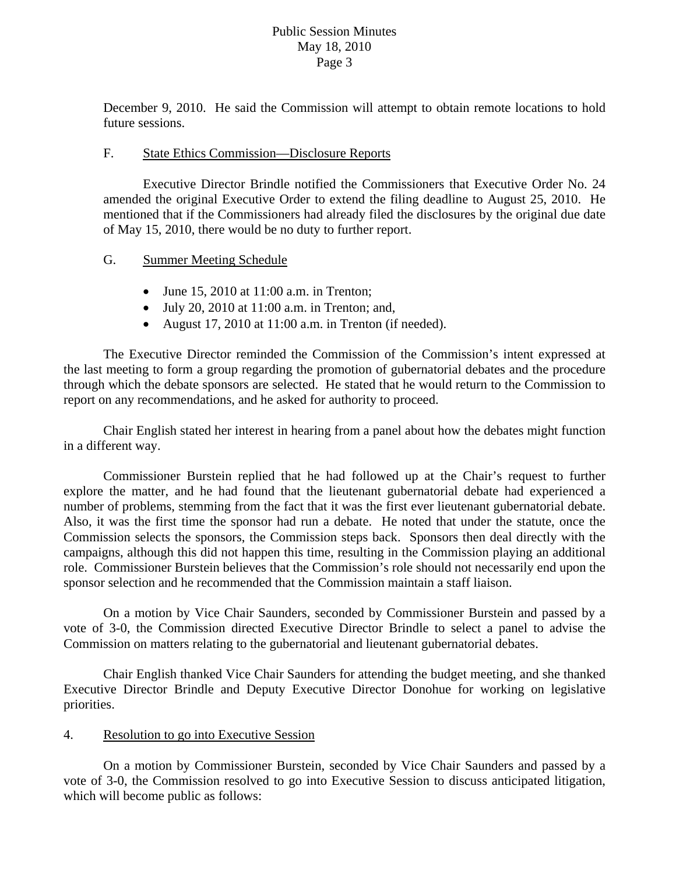### Public Session Minutes May 18, 2010 Page 3

December 9, 2010. He said the Commission will attempt to obtain remote locations to hold future sessions.

### F. State Ethics Commission—Disclosure Reports

 Executive Director Brindle notified the Commissioners that Executive Order No. 24 amended the original Executive Order to extend the filing deadline to August 25, 2010. He mentioned that if the Commissioners had already filed the disclosures by the original due date of May 15, 2010, there would be no duty to further report.

# G. Summer Meeting Schedule

- June 15, 2010 at 11:00 a.m. in Trenton;
- $\bullet$  July 20, 2010 at 11:00 a.m. in Trenton; and,
- August 17, 2010 at 11:00 a.m. in Trenton (if needed).

The Executive Director reminded the Commission of the Commission's intent expressed at the last meeting to form a group regarding the promotion of gubernatorial debates and the procedure through which the debate sponsors are selected. He stated that he would return to the Commission to report on any recommendations, and he asked for authority to proceed.

 Chair English stated her interest in hearing from a panel about how the debates might function in a different way.

Commissioner Burstein replied that he had followed up at the Chair's request to further explore the matter, and he had found that the lieutenant gubernatorial debate had experienced a number of problems, stemming from the fact that it was the first ever lieutenant gubernatorial debate. Also, it was the first time the sponsor had run a debate. He noted that under the statute, once the Commission selects the sponsors, the Commission steps back. Sponsors then deal directly with the campaigns, although this did not happen this time, resulting in the Commission playing an additional role. Commissioner Burstein believes that the Commission's role should not necessarily end upon the sponsor selection and he recommended that the Commission maintain a staff liaison.

On a motion by Vice Chair Saunders, seconded by Commissioner Burstein and passed by a vote of 3-0, the Commission directed Executive Director Brindle to select a panel to advise the Commission on matters relating to the gubernatorial and lieutenant gubernatorial debates.

 Chair English thanked Vice Chair Saunders for attending the budget meeting, and she thanked Executive Director Brindle and Deputy Executive Director Donohue for working on legislative priorities.

# 4. Resolution to go into Executive Session

 On a motion by Commissioner Burstein, seconded by Vice Chair Saunders and passed by a vote of 3-0, the Commission resolved to go into Executive Session to discuss anticipated litigation, which will become public as follows: